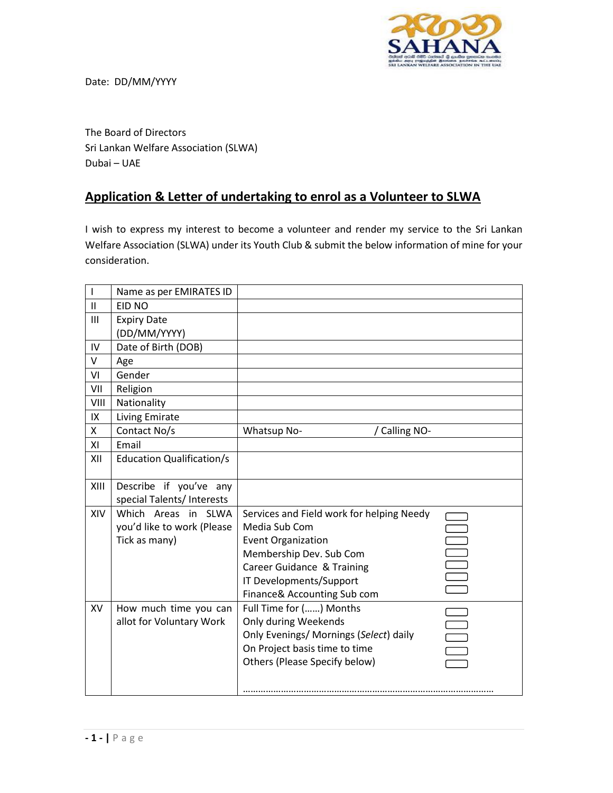

Date: DD/MM/YYYY

The Board of Directors Sri Lankan Welfare Association (SLWA) Dubai – UAE

## **Application & Letter of undertaking to enrol as a Volunteer to SLWA**

I wish to express my interest to become a volunteer and render my service to the Sri Lankan Welfare Association (SLWA) under its Youth Club & submit the below information of mine for your consideration.

| I             | Name as per EMIRATES ID                                            |                                                                                                                                                                                                            |  |
|---------------|--------------------------------------------------------------------|------------------------------------------------------------------------------------------------------------------------------------------------------------------------------------------------------------|--|
| $\mathbf{II}$ | EID NO                                                             |                                                                                                                                                                                                            |  |
| III           | <b>Expiry Date</b><br>(DD/MM/YYYY)                                 |                                                                                                                                                                                                            |  |
| IV            | Date of Birth (DOB)                                                |                                                                                                                                                                                                            |  |
| V             | Age                                                                |                                                                                                                                                                                                            |  |
| VI            | Gender                                                             |                                                                                                                                                                                                            |  |
| VII           | Religion                                                           |                                                                                                                                                                                                            |  |
| VIII          | Nationality                                                        |                                                                                                                                                                                                            |  |
| IX            | Living Emirate                                                     |                                                                                                                                                                                                            |  |
| X             | Contact No/s                                                       | Whatsup No-<br>/ Calling NO-                                                                                                                                                                               |  |
| XI            | Email                                                              |                                                                                                                                                                                                            |  |
| XII           | <b>Education Qualification/s</b>                                   |                                                                                                                                                                                                            |  |
| XIII          | Describe if you've any<br>special Talents/ Interests               |                                                                                                                                                                                                            |  |
| XIV           | Which Areas in SLWA<br>you'd like to work (Please<br>Tick as many) | Services and Field work for helping Needy<br>Media Sub Com<br><b>Event Organization</b><br>Membership Dev. Sub Com<br>Career Guidance & Training<br>IT Developments/Support<br>Finance& Accounting Sub com |  |
| <b>XV</b>     | How much time you can<br>allot for Voluntary Work                  | Full Time for () Months<br>Only during Weekends<br>Only Evenings/ Mornings (Select) daily<br>On Project basis time to time<br>Others (Please Specify below)                                                |  |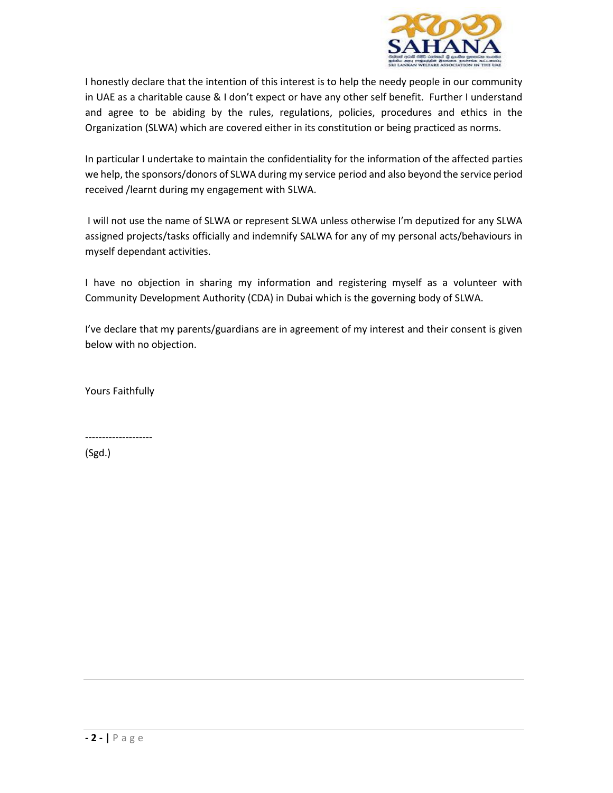

I honestly declare that the intention of this interest is to help the needy people in our community in UAE as a charitable cause & I don't expect or have any other self benefit. Further I understand and agree to be abiding by the rules, regulations, policies, procedures and ethics in the Organization (SLWA) which are covered either in its constitution or being practiced as norms.

In particular I undertake to maintain the confidentiality for the information of the affected parties we help, the sponsors/donors of SLWA during my service period and also beyond the service period received /learnt during my engagement with SLWA.

I will not use the name of SLWA or represent SLWA unless otherwise I'm deputized for any SLWA assigned projects/tasks officially and indemnify SALWA for any of my personal acts/behaviours in myself dependant activities.

I have no objection in sharing my information and registering myself as a volunteer with Community Development Authority (CDA) in Dubai which is the governing body of SLWA.

I've declare that my parents/guardians are in agreement of my interest and their consent is given below with no objection.

Yours Faithfully

--------------------

(Sgd.)